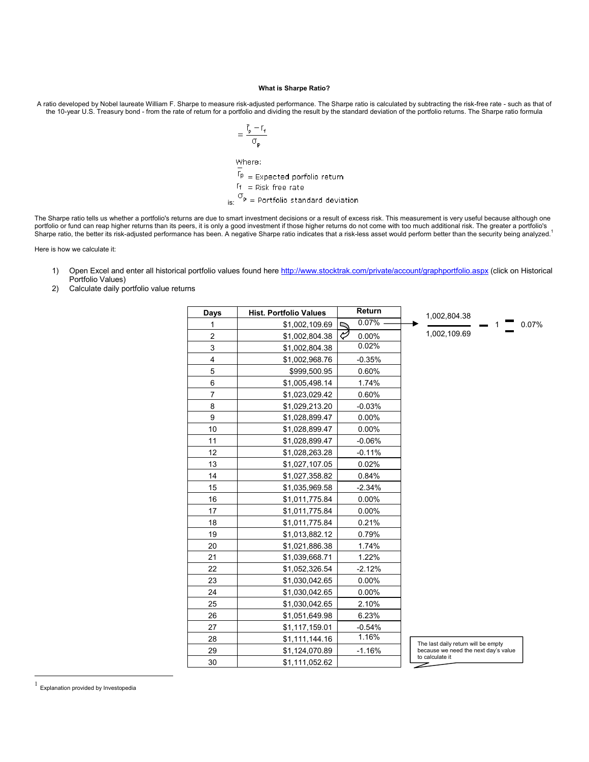## **What is Sharpe Ratio?**

A ratio developed by Nobel laureate William F. Sharpe to measure risk-adjusted performance. The Sharpe ratio is calculated by subtracting the risk-free rate - such as that of the 10-year U.S. Treasury bond - from the rate of return for a portfolio and dividing the result by the standard deviation of the portfolio returns. The Sharpe ratio formula

$$
= \frac{\overline{r}_p - r_f}{\sigma_p}
$$

Where:

 $\mathsf{f}_{\mathsf{P}}$  = Expected porfolio return

$$
If = Risk free rate
$$

 $\sigma_{\rm p} =$  Portfolio standard deviation

The Sharpe ratio tells us whether a portfolio's returns are due to smart investment decisions or a result of excess risk. This measurement is very useful because although one portfolio or fund can reap higher returns than its peers, it is only a good investment if those higher returns do not come with too much additional risk. The greater a portfolio's<br>Sharpe ratio, the better its risk-adjusted

Here is how we calculate it:

- 1) Open Excel and enter all historical portfolio values found here http://www.stocktrak.com/private/account/graphportfolio.aspx (click on Historical Portfolio Values)
- 2) Calculate daily portfolio value returns

| Days           | <b>Hist. Portfolio Values</b> | Return     | 1,002,804.38                         |
|----------------|-------------------------------|------------|--------------------------------------|
| 1              | \$1,002,109.69                | 0.07%<br>↸ | 0.07%                                |
| $\overline{c}$ | \$1,002,804.38                | V<br>0.00% | 1,002,109.69                         |
| 3              | \$1,002,804.38                | 0.02%      |                                      |
| $\overline{4}$ | \$1,002,968.76                | $-0.35%$   |                                      |
| 5              | \$999,500.95                  | 0.60%      |                                      |
| 6              | \$1,005,498.14                | 1.74%      |                                      |
| 7              | \$1,023,029.42                | 0.60%      |                                      |
| 8              | \$1,029,213.20                | $-0.03%$   |                                      |
| 9              | \$1,028,899.47                | $0.00\%$   |                                      |
| 10             | \$1,028,899.47                | $0.00\%$   |                                      |
| 11             | \$1,028,899.47                | $-0.06%$   |                                      |
| 12             | \$1,028,263.28                | $-0.11%$   |                                      |
| 13             | \$1,027,107.05                | 0.02%      |                                      |
| 14             | \$1,027,358.82                | 0.84%      |                                      |
| 15             | \$1,035,969.58                | $-2.34%$   |                                      |
| 16             | \$1,011,775.84                | $0.00\%$   |                                      |
| 17             | \$1,011,775.84                | $0.00\%$   |                                      |
| 18             | \$1,011,775.84                | 0.21%      |                                      |
| 19             | \$1,013,882.12                | 0.79%      |                                      |
| 20             | \$1,021,886.38                | 1.74%      |                                      |
| 21             | \$1,039,668.71                | 1.22%      |                                      |
| 22             | \$1,052,326.54                | $-2.12%$   |                                      |
| 23             | \$1,030,042.65                | 0.00%      |                                      |
| 24             | \$1,030,042.65                | 0.00%      |                                      |
| 25             | \$1,030,042.65                | 2.10%      |                                      |
| 26             | \$1,051,649.98                | 6.23%      |                                      |
| 27             | \$1,117,159.01                | $-0.54%$   |                                      |
| 28             | \$1,111,144.16                | 1.16%      | The last daily return will be empty  |
| 29             | \$1,124,070.89                | $-1.16%$   | because we need the next day's value |
| 30             | \$1,111,052.62                |            | to calculate it<br>Z                 |

1 Explanation provided by Investopedia

 $\overline{a}$